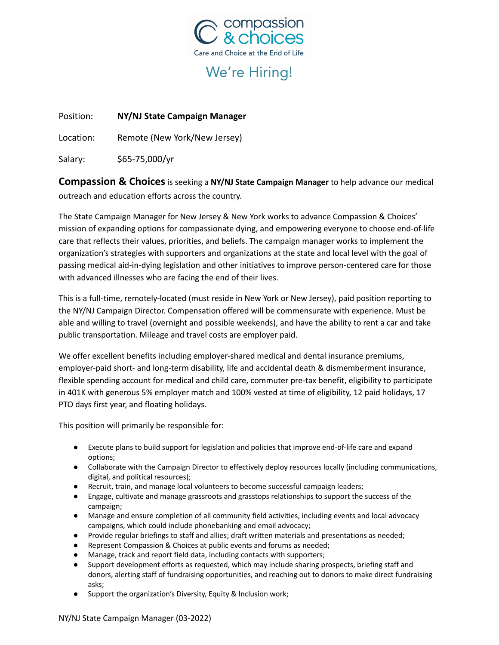

# We're Hiring!

Position: **NY/NJ State Campaign Manager**

Location: Remote (New York/New Jersey)

Salary: \$65-75,000/yr

**Compassion & Choices**is seeking a **NY/NJ State Campaign Manager** to help advance our medical outreach and education efforts across the country.

The State Campaign Manager for New Jersey & New York works to advance Compassion & Choices' mission of expanding options for compassionate dying, and empowering everyone to choose end-of-life care that reflects their values, priorities, and beliefs. The campaign manager works to implement the organization's strategies with supporters and organizations at the state and local level with the goal of passing medical aid-in-dying legislation and other initiatives to improve person-centered care for those with advanced illnesses who are facing the end of their lives.

This is a full-time, remotely-located (must reside in New York or New Jersey), paid position reporting to the NY/NJ Campaign Director. Compensation offered will be commensurate with experience. Must be able and willing to travel (overnight and possible weekends), and have the ability to rent a car and take public transportation. Mileage and travel costs are employer paid.

We offer excellent benefits including employer-shared medical and dental insurance premiums, employer-paid short- and long-term disability, life and accidental death & dismemberment insurance, flexible spending account for medical and child care, commuter pre-tax benefit, eligibility to participate in 401K with generous 5% employer match and 100% vested at time of eligibility, 12 paid holidays, 17 PTO days first year, and floating holidays.

This position will primarily be responsible for:

- Execute plans to build support for legislation and policies that improve end-of-life care and expand options;
- Collaborate with the Campaign Director to effectively deploy resources locally (including communications, digital, and political resources);
- Recruit, train, and manage local volunteers to become successful campaign leaders;
- Engage, cultivate and manage grassroots and grasstops relationships to support the success of the campaign;
- Manage and ensure completion of all community field activities, including events and local advocacy campaigns, which could include phonebanking and email advocacy;
- Provide regular briefings to staff and allies; draft written materials and presentations as needed;
- Represent Compassion & Choices at public events and forums as needed;
- Manage, track and report field data, including contacts with supporters;
- Support development efforts as requested, which may include sharing prospects, briefing staff and donors, alerting staff of fundraising opportunities, and reaching out to donors to make direct fundraising asks;
- Support the organization's Diversity, Equity & Inclusion work;

NY/NJ State Campaign Manager (03-2022)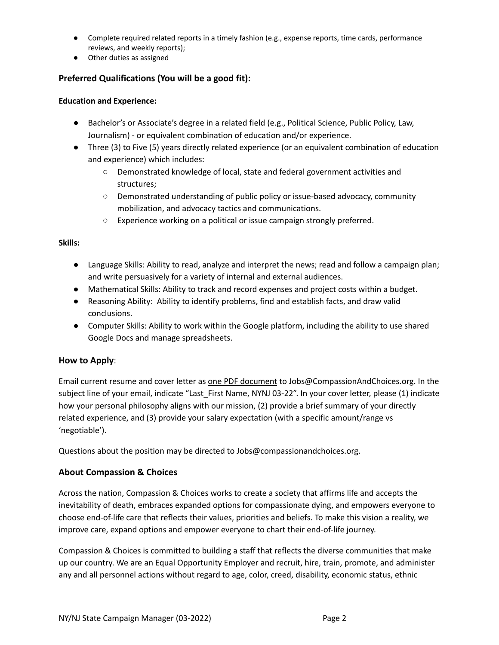- Complete required related reports in a timely fashion (e.g., expense reports, time cards, performance reviews, and weekly reports);
- Other duties as assigned

## **Preferred Qualifications (You will be a good fit):**

#### **Education and Experience:**

- Bachelor's or Associate's degree in a related field (e.g., Political Science, Public Policy, Law, Journalism) - or equivalent combination of education and/or experience.
- Three (3) to Five (5) years directly related experience (or an equivalent combination of education and experience) which includes:
	- Demonstrated knowledge of local, state and federal government activities and structures;
	- Demonstrated understanding of public policy or issue-based advocacy, community mobilization, and advocacy tactics and communications.
	- Experience working on a political or issue campaign strongly preferred.

#### **Skills:**

- Language Skills: Ability to read, analyze and interpret the news; read and follow a campaign plan; and write persuasively for a variety of internal and external audiences.
- Mathematical Skills: Ability to track and record expenses and project costs within a budget.
- Reasoning Ability: Ability to identify problems, find and establish facts, and draw valid conclusions.
- Computer Skills: Ability to work within the Google platform, including the ability to use shared Google Docs and manage spreadsheets.

#### **How to Apply**:

Email current resume and cover letter as one PDF document to Jobs@CompassionAndChoices.org. In the subject line of your email, indicate "Last\_First Name, NYNJ 03-22". In your cover letter, please (1) indicate how your personal philosophy aligns with our mission, (2) provide a brief summary of your directly related experience, and (3) provide your salary expectation (with a specific amount/range vs 'negotiable').

Questions about the position may be directed to Jobs@compassionandchoices.org.

### **About Compassion & Choices**

Across the nation, Compassion & Choices works to create a society that affirms life and accepts the inevitability of death, embraces expanded options for compassionate dying, and empowers everyone to choose end-of-life care that reflects their values, priorities and beliefs. To make this vision a reality, we improve care, expand options and empower everyone to chart their end-of-life journey.

Compassion & Choices is committed to building a staff that reflects the diverse communities that make up our country. We are an Equal Opportunity Employer and recruit, hire, train, promote, and administer any and all personnel actions without regard to age, color, creed, disability, economic status, ethnic